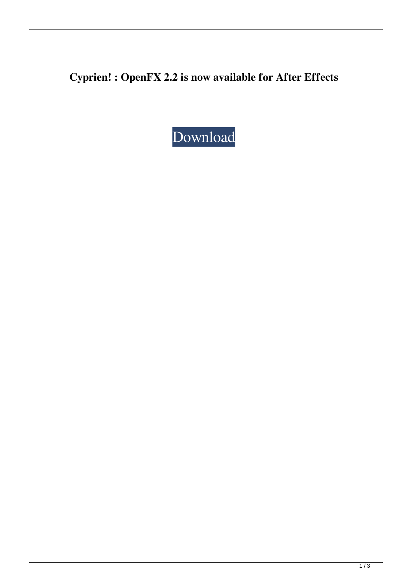**Cyprien! : OpenFX 2.2 is now available for After Effects**

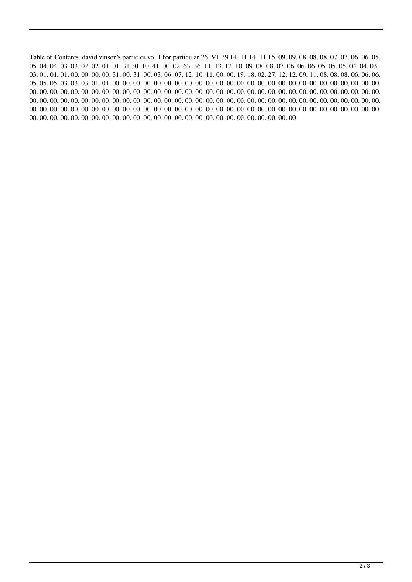Table of Contents. david vinson's particles vol 1 for particular 26. V1 39 14. 11 14. 11 15. 09. 09. 08. 08. 08. 07. 07. 06. 06. 05. 05. 04. 04. 03. 03. 02. 02. 01. 01. 31.30. 10. 41. 00. 02. 63. 36. 11. 13. 12. 10. 09. 08. 08. 07. 06. 06. 06. 05. 05. 05. 04. 04. 03. 03. 01. 01. 01. 00. 00. 00. 00. 31. 00. 31. 00. 03. 06. 07. 12. 10. 11. 00. 00. 19. 18. 02. 27. 12. 12. 09. 11. 08. 08. 08. 06. 06. 06. 05. 05. 05. 03. 03. 03. 01. 01. 00. 00. 00. 00. 00. 00. 00. 00. 00. 00. 00. 00. 00. 00. 00. 00. 00. 00. 00. 00. 00. 00. 00. 00. 00. 00. 00. 00. 00. 00. 00. 00. 00. 00. 00. 00. 00. 00. 00. 00. 00. 00. 00. 00. 00. 00. 00. 00. 00. 00. 00. 00. 00. 00. 00. 00. 00. 00. 00. 00. 00. 00. 00. 00. 00. 00. 00. 00. 00. 00. 00. 00. 00. 00. 00. 00. 00. 00. 00. 00. 00. 00. 00. 00. 00. 00. 00. 00. 00. 00. 00. 00. 00. 00. 00. 00. 00. 00. 00. 00. 00. 00. 00. 00. 00. 00. 00. 00. 00. 00. 00. 00. 00. 00. 00. 00. 00. 00. 00. 00. 00. 00. 00. 00. 00. 00. 00. 00. 00. 00. 00. 00. 00. 00. 00. 00. 00. 00. 00. 00. 00. 00. 00. 00. 00. 00. 00. 00. 00. 00. 00. 00. 00. 00